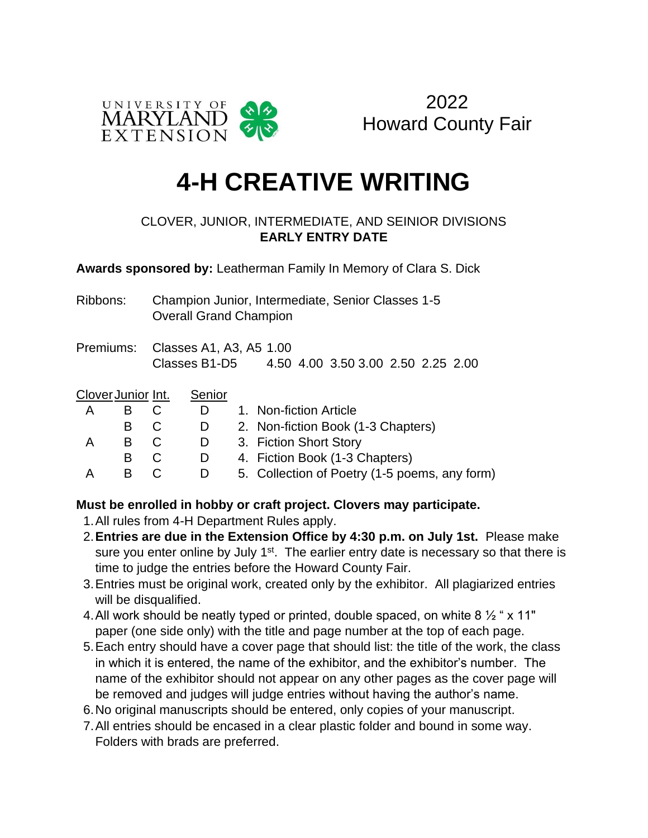

2022 Howard County Fair

## **4-H CREATIVE WRITING**

## CLOVER, JUNIOR, INTERMEDIATE, AND SEINIOR DIVISIONS **EARLY ENTRY DATE**

**Awards sponsored by:** Leatherman Family In Memory of Clara S. Dick

- Ribbons: Champion Junior, Intermediate, Senior Classes 1-5 Overall Grand Champion
- Premiums: Classes A1, A3, A5 1.00 Classes B1-D5 4.50 4.00 3.50 3.00 2.50 2.25 2.00

| Clover Junior Int. |   |  | Senior |                                               |
|--------------------|---|--|--------|-----------------------------------------------|
| А                  |   |  |        | 1. Non-fiction Article                        |
|                    | B |  |        | 2. Non-fiction Book (1-3 Chapters)            |
| А                  |   |  |        | 3. Fiction Short Story                        |
|                    | B |  |        | 4. Fiction Book (1-3 Chapters)                |
| А                  |   |  |        | 5. Collection of Poetry (1-5 poems, any form) |

## **Must be enrolled in hobby or craft project. Clovers may participate.**

- 1.All rules from 4-H Department Rules apply.
- 2.**Entries are due in the Extension Office by 4:30 p.m. on July 1st.** Please make sure you enter online by July 1<sup>st</sup>. The earlier entry date is necessary so that there is time to judge the entries before the Howard County Fair.
- 3.Entries must be original work, created only by the exhibitor. All plagiarized entries will be disqualified.
- 4.All work should be neatly typed or printed, double spaced, on white 8 ½ " x 11" paper (one side only) with the title and page number at the top of each page.
- 5.Each entry should have a cover page that should list: the title of the work, the class in which it is entered, the name of the exhibitor, and the exhibitor's number. The name of the exhibitor should not appear on any other pages as the cover page will be removed and judges will judge entries without having the author's name.
- 6.No original manuscripts should be entered, only copies of your manuscript.
- 7.All entries should be encased in a clear plastic folder and bound in some way. Folders with brads are preferred.